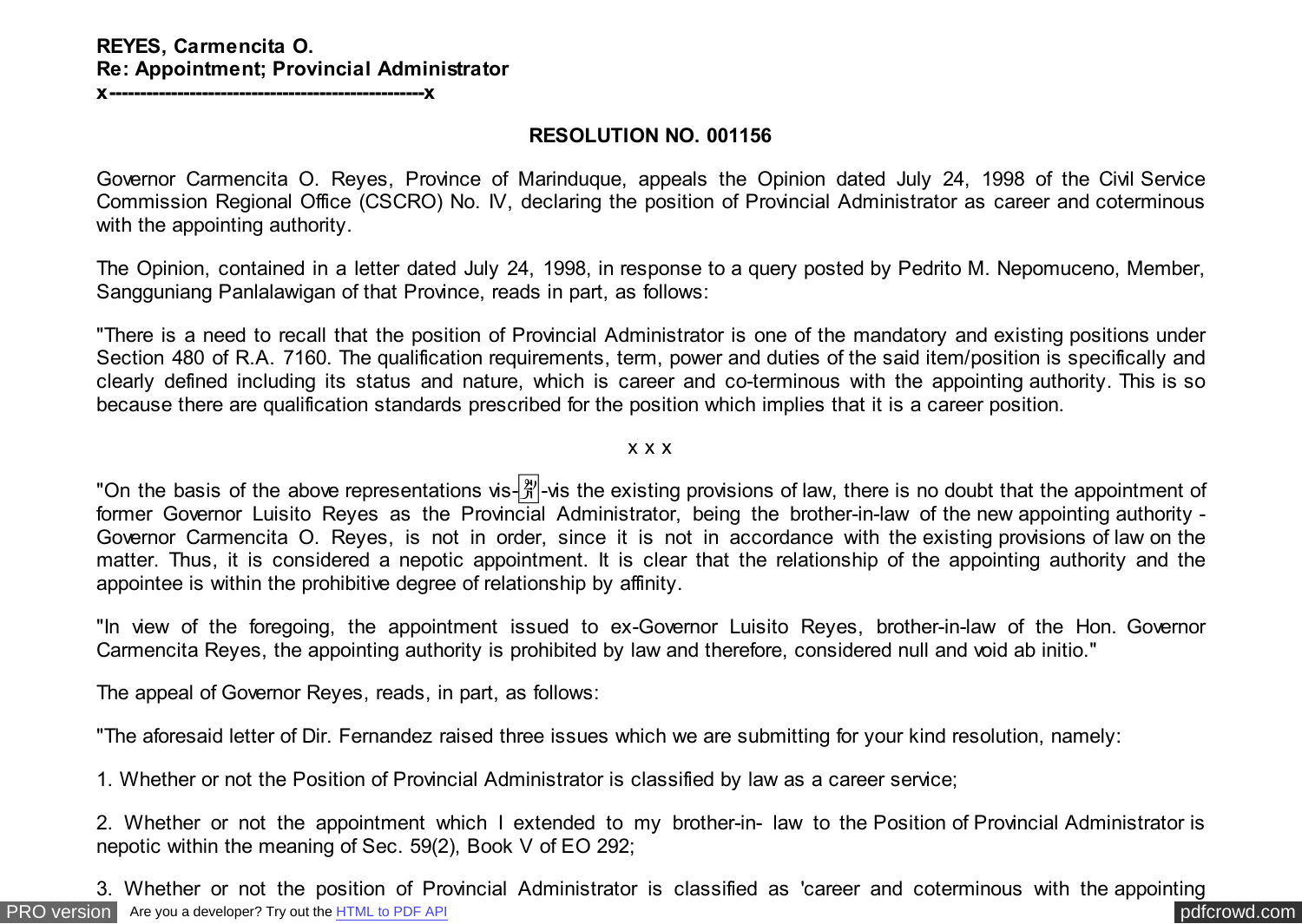## **REYES, Carmencita O. Re: Appointment; Provincial Administrator**

**x---------------------------------------------------x**

### **RESOLUTION NO. 001156**

Governor Carmencita O. Reyes, Province of Marinduque, appeals the Opinion dated July 24, 1998 of the Civil Service Commission Regional Office (CSCRO) No. IV, declaring the position of Provincial Administrator as career and coterminous with the appointing authority.

The Opinion, contained in a letter dated July 24, 1998, in response to a query posted by Pedrito M. Nepomuceno, Member, Sangguniang Panlalawigan of that Province, reads in part, as follows:

"There is a need to recall that the position of Provincial Administrator is one of the mandatory and existing positions under Section 480 of R.A. 7160. The qualification requirements, term, power and duties of the said item/position is specifically and clearly defined including its status and nature, which is career and co-terminous with the appointing authority. This is so because there are qualification standards prescribed for the position which implies that it is a career position.

#### x x x

"On the basis of the above representations vis- $\frac{[2]}{N}$ -vis the existing provisions of law, there is no doubt that the appointment of former Governor Luisito Reyes as the Provincial Administrator, being the brother-in-law of the new appointing authority - Governor Carmencita O. Reyes, is not in order, since it is not in accordance with the existing provisions of law on the matter. Thus, it is considered a nepotic appointment. It is clear that the relationship of the appointing authority and the appointee is within the prohibitive degree of relationship by affinity.

"In view of the foregoing, the appointment issued to ex-Governor Luisito Reyes, brother-in-law of the Hon. Governor Carmencita Reyes, the appointing authority is prohibited by law and therefore, considered null and void ab initio."

The appeal of Governor Reyes, reads, in part, as follows:

"The aforesaid letter of Dir. Fernandez raised three issues which we are submitting for your kind resolution, namely:

1. Whether or not the Position of Provincial Administrator is classified by law as a career service;

2. Whether or not the appointment which I extended to my brother-in- law to the Position of Provincial Administrator is nepotic within the meaning of Sec. 59(2), Book V of EO 292;

[PRO version](http://pdfcrowd.com/customize/) Are you a developer? Try out th[e HTML to PDF API](http://pdfcrowd.com/html-to-pdf-api/?ref=pdf) provided and the example of the HTML to PDF API posterior and the example of the example of the example of the example of the example of the example of the examp 3. Whether or not the position of Provincial Administrator is classified as 'career and coterminous with the appointing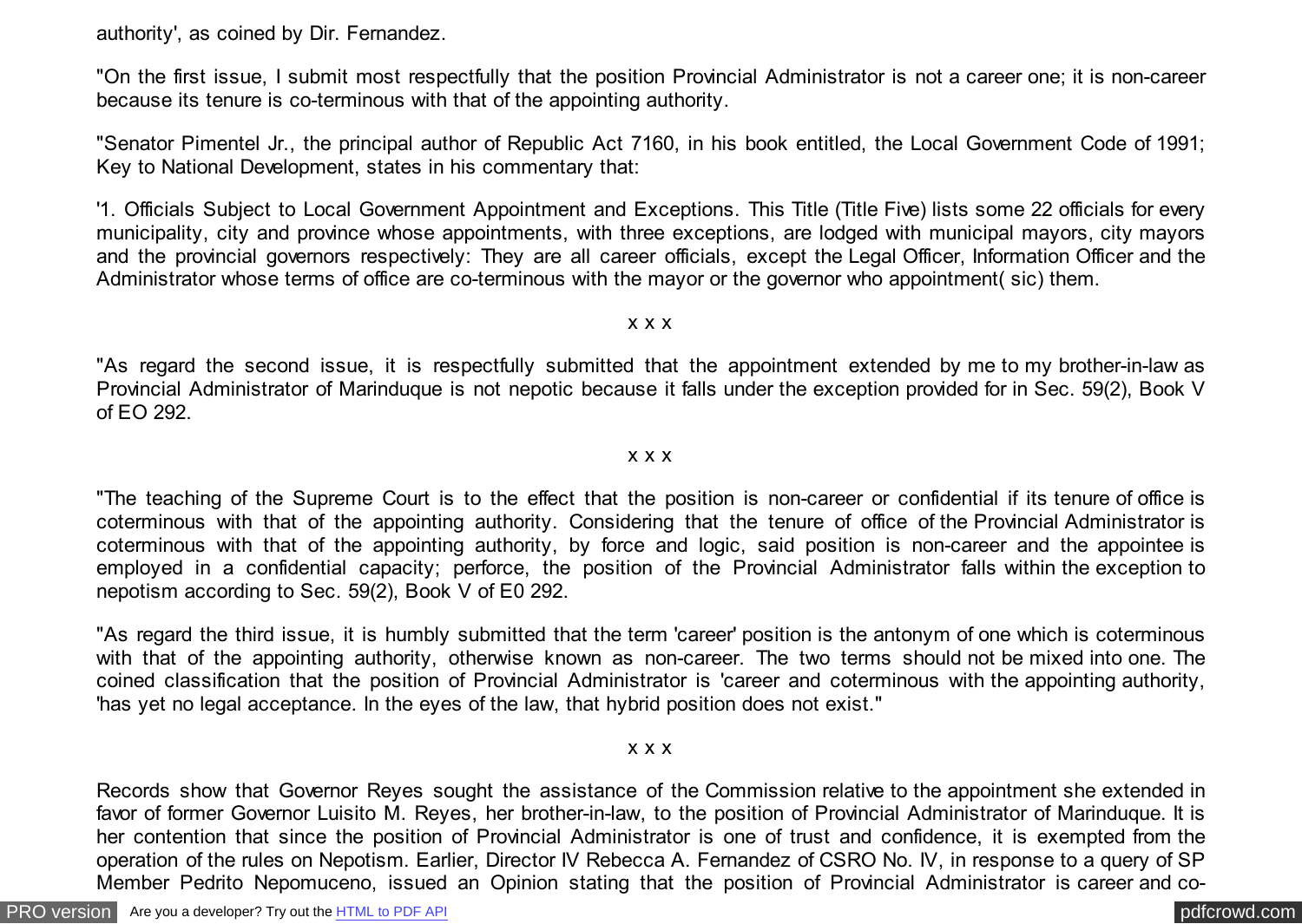authority', as coined by Dir. Fernandez.

"On the first issue, I submit most respectfully that the position Provincial Administrator is not a career one; it is non-career because its tenure is co-terminous with that of the appointing authority.

"Senator Pimentel Jr., the principal author of Republic Act 7160, in his book entitled, the Local Government Code of 1991; Key to National Development, states in his commentary that:

'1. Officials Subject to Local Government Appointment and Exceptions. This Title (Title Five) lists some 22 officials for every municipality, city and province whose appointments, with three exceptions, are lodged with municipal mayors, city mayors and the provincial governors respectively: They are all career officials, except the Legal Officer, Information Officer and the Administrator whose terms of office are co-terminous with the mayor or the governor who appointment( sic) them.

#### x x x

"As regard the second issue, it is respectfully submitted that the appointment extended by me to my brother-in-law as Provincial Administrator of Marinduque is not nepotic because it falls under the exception provided for in Sec. 59(2), Book V of EO 292.

#### x x x

"The teaching of the Supreme Court is to the effect that the position is non-career or confidential if its tenure of office is coterminous with that of the appointing authority. Considering that the tenure of office of the Provincial Administrator is coterminous with that of the appointing authority, by force and logic, said position is non-career and the appointee is employed in a confidential capacity; perforce, the position of the Provincial Administrator falls within the exception to nepotism according to Sec. 59(2), Book V of E0 292.

"As regard the third issue, it is humbly submitted that the term 'career' position is the antonym of one which is coterminous with that of the appointing authority, otherwise known as non-career. The two terms should not be mixed into one. The coined classification that the position of Provincial Administrator is 'career and coterminous with the appointing authority, 'has yet no legal acceptance. In the eyes of the law, that hybrid position does not exist."

#### x x x

Records show that Governor Reyes sought the assistance of the Commission relative to the appointment she extended in favor of former Governor Luisito M. Reyes, her brother-in-law, to the position of Provincial Administrator of Marinduque. It is her contention that since the position of Provincial Administrator is one of trust and confidence, it is exempted from the operation of the rules on Nepotism. Earlier, Director IV Rebecca A. Fernandez of CSRO No. IV, in response to a query of SP Member Pedrito Nepomuceno, issued an Opinion stating that the position of Provincial Administrator is career and co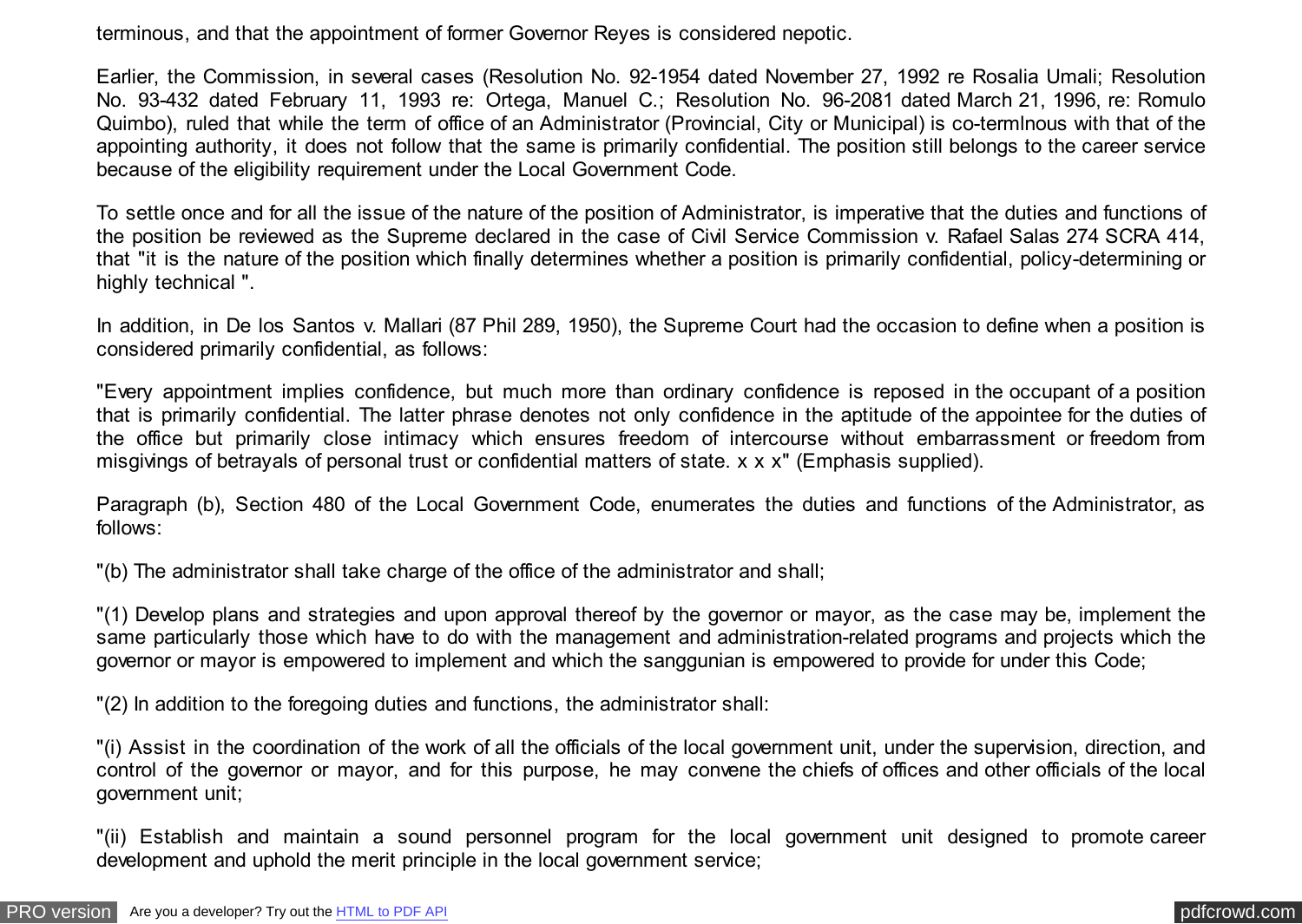terminous, and that the appointment of former Governor Reyes is considered nepotic.

Earlier, the Commission, in several cases (Resolution No. 92-1954 dated November 27, 1992 re Rosalia Umali; Resolution No. 93-432 dated February 11, 1993 re: Ortega, Manuel C.; Resolution No. 96-2081 dated March 21, 1996, re: Romulo Quimbo), ruled that while the term of office of an Administrator (Provincial, City or Municipal) is co-termlnous with that of the appointing authority, it does not follow that the same is primarily confidential. The position still belongs to the career service because of the eligibility requirement under the Local Government Code.

To settle once and for all the issue of the nature of the position of Administrator, is imperative that the duties and functions of the position be reviewed as the Supreme declared in the case of Civil Service Commission v. Rafael Salas 274 SCRA 414, that "it is the nature of the position which finally determines whether a position is primarily confidential, policy-determining or highly technical ".

In addition, in De los Santos v. Mallari (87 Phil 289, 1950), the Supreme Court had the occasion to define when a position is considered primarily confidential, as follows:

"Every appointment implies confidence, but much more than ordinary confidence is reposed in the occupant of a position that is primarily confidential. The latter phrase denotes not only confidence in the aptitude of the appointee for the duties of the office but primarily close intimacy which ensures freedom of intercourse without embarrassment or freedom from misgivings of betrayals of personal trust or confidential matters of state. x x x" (Emphasis supplied).

Paragraph (b), Section 480 of the Local Government Code, enumerates the duties and functions of the Administrator, as follows:

"(b) The administrator shall take charge of the office of the administrator and shall;

"(1) Develop plans and strategies and upon approval thereof by the governor or mayor, as the case may be, implement the same particularly those which have to do with the management and administration-related programs and projects which the governor or mayor is empowered to implement and which the sanggunian is empowered to provide for under this Code;

"(2) In addition to the foregoing duties and functions, the administrator shall:

"(i) Assist in the coordination of the work of all the officials of the local government unit, under the supervision, direction, and control of the governor or mayor, and for this purpose, he may convene the chiefs of offices and other officials of the local government unit;

"(ii) Establish and maintain a sound personnel program for the local government unit designed to promote career development and uphold the merit principle in the local government service;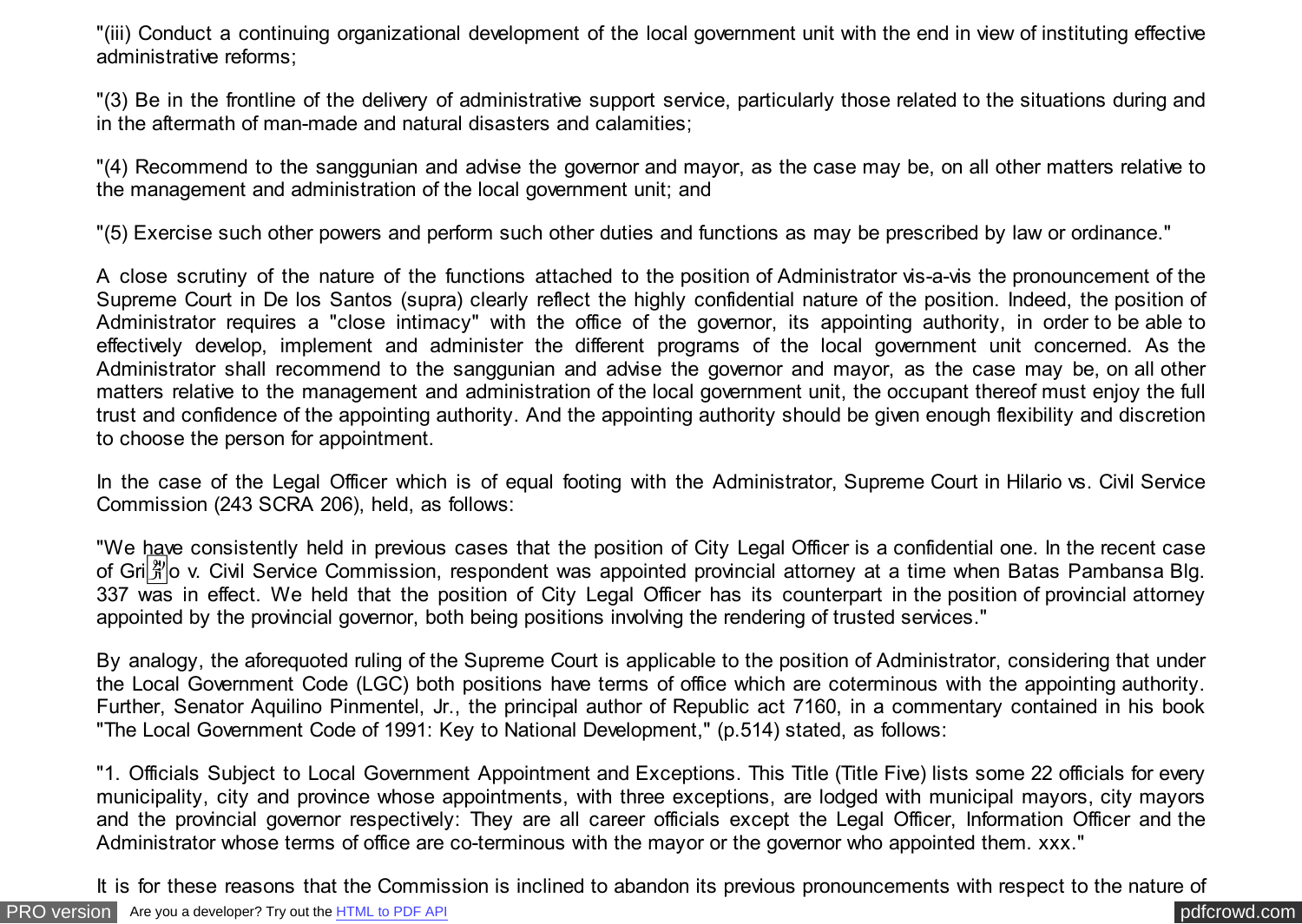"(iii) Conduct a continuing organizational development of the local government unit with the end in view of instituting effective administrative reforms;

"(3) Be in the frontline of the delivery of administrative support service, particularly those related to the situations during and in the aftermath of man-made and natural disasters and calamities;

"(4) Recommend to the sanggunian and advise the governor and mayor, as the case may be, on all other matters relative to the management and administration of the local government unit; and

"(5) Exercise such other powers and perform such other duties and functions as may be prescribed by law or ordinance."

A close scrutiny of the nature of the functions attached to the position of Administrator vis-a-vis the pronouncement of the Supreme Court in De los Santos (supra) clearly reflect the highly confidential nature of the position. Indeed, the position of Administrator requires a "close intimacy" with the office of the governor, its appointing authority, in order to be able to effectively develop, implement and administer the different programs of the local government unit concerned. As the Administrator shall recommend to the sanggunian and advise the governor and mayor, as the case may be, on all other matters relative to the management and administration of the local government unit, the occupant thereof must enjoy the full trust and confidence of the appointing authority. And the appointing authority should be given enough flexibility and discretion to choose the person for appointment.

In the case of the Legal Officer which is of equal footing with the Administrator, Supreme Court in Hilario vs. Civil Service Commission (243 SCRA 206), held, as follows:

"We have consistently held in previous cases that the position of City Legal Officer is a confidential one. In the recent case of Gri $\frac{20}{10}$  v. Civil Service Commission, respondent was appointed provincial attorney at a time when Batas Pambansa Blg. 337 was in effect. We held that the position of City Legal Officer has its counterpart in the position of provincial attorney appointed by the provincial governor, both being positions involving the rendering of trusted services."

By analogy, the aforequoted ruling of the Supreme Court is applicable to the position of Administrator, considering that under the Local Government Code (LGC) both positions have terms of office which are coterminous with the appointing authority. Further, Senator Aquilino Pinmentel, Jr., the principal author of Republic act 7160, in a commentary contained in his book "The Local Government Code of 1991: Key to National Development," (p.514) stated, as follows:

"1. Officials Subject to Local Government Appointment and Exceptions. This Title (Title Five) lists some 22 officials for every municipality, city and province whose appointments, with three exceptions, are lodged with municipal mayors, city mayors and the provincial governor respectively: They are all career officials except the Legal Officer, Information Officer and the Administrator whose terms of office are co-terminous with the mayor or the governor who appointed them. xxx."

It is for these reasons that the Commission is inclined to abandon its previous pronouncements with respect to the nature of